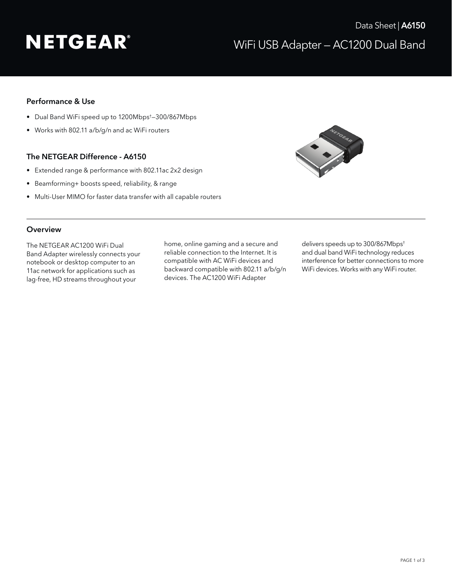# **NETGEAR®**

## Performance & Use

- Dual Band WiFi speed up to 1200Mbps† —300/867Mbps
- Works with 802.11 a/b/g/n and ac WiFi routers

### The NETGEAR Difference - A6150

- Extended range & performance with 802.11ac 2x2 design
- Beamforming+ boosts speed, reliability, & range
- Multi-User MIMO for faster data transfer with all capable routers



#### **Overview**

The NETGEAR AC1200 WiFi Dual Band Adapter wirelessly connects your notebook or desktop computer to an 11ac network for applications such as lag-free, HD streams throughout your

home, online gaming and a secure and reliable connection to the Internet. It is compatible with AC WiFi devices and backward compatible with 802.11 a/b/g/n devices. The AC1200 WiFi Adapter

delivers speeds up to 300/867Mbps† and dual band WiFi technology reduces interference for better connections to more WiFi devices. Works with any WiFi router.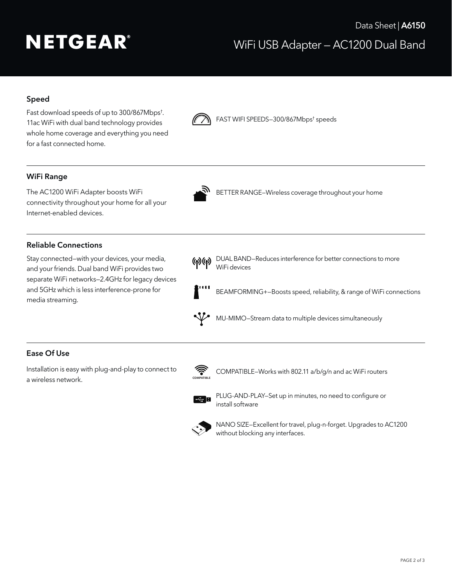# **NETGEAR®**

# WiFi USB Adapter — AC1200 Dual Band Data Sheet | A6150

## Speed

Fast download speeds of up to 300/867Mbps† . 11ac WiFi with dual band technology provides whole home coverage and everything you need for a fast connected home.



**MEXALLE SPEEDS-300/867Mbps<sup>†</sup> speeds** 

### WiFi Range

connectivity throughout your home for all your Internet-enabled devices.



The AC1200 WiFi Adapter boosts WiFi BETTER RANGE-Wireless coverage throughout your home

### Reliable Connections

Stay connected—with your devices, your media, and your friends. Dual band WiFi provides two separate WiFi networks—2.4GHz for legacy devices and 5GHz which is less interference-prone for media streaming.

**(p) (p)** DUAL BAND–Reduces interference for better connections to more WiFi devices



BEAMFORMING+—Boosts speed, reliability, & range of WiFi connections



MU-MIMO—Stream data to multiple devices simultaneously

### Ease Of Use

Installation is easy with plug-and-play to connect to a wireless network.



COMPATIBLE–Works with 802.11 a/b/g/n and ac WiFi routers



PLUG-AND-PLAY–Set up in minutes, no need to configure or install software



 NANO SIZE—Excellent for travel, plug-n-forget. Upgrades to AC1200 without blocking any interfaces.